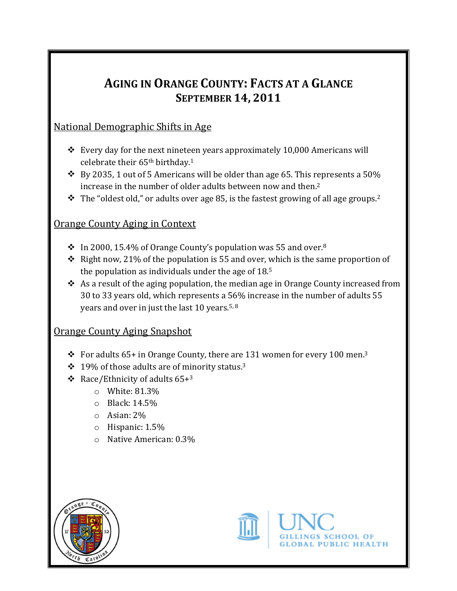# AGING IN ORANGE COUNTY: FACTS AT A GLANCE SEPTEMBER 14, 2011

#### National Demographic Shifts in Age

- $\cdot$  Every day for the next nineteen years approximately 10,000 Americans will celebrate their 65th birthday.<sup>1</sup>
- $\cdot$  By 2035, 1 out of 5 Americans will be older than age 65. This represents a 50% increase in the number of older adults between now and then.<sup>2</sup>
- $\cdot$  The "oldest old," or adults over age 85, is the fastest growing of all age groups.<sup>2</sup>

#### Orange County Aging in Context

- $\cdot$  In 2000, 15.4% of Orange County's population was 55 and over.<sup>8</sup>
- $\cdot$  Right now, 21% of the population is 55 and over, which is the same proportion of the population as individuals under the age of 18.<sup>5</sup>
- $\triangle$  As a result of the aging population, the median age in Orange County increased from 30 to 33 years old, which represents a 56% increase in the number of adults 55 years and over in just the last 10 years.5, 8

## Orange County Aging Snapshot

- $\div$  For adults 65+ in Orange County, there are 131 women for every 100 men.<sup>3</sup>
- $\div$  19% of those adults are of minority status.<sup>3</sup>
- $\div$  Race/Ethnicity of adults 65+3
	- o White: 81.3%
	- o Black: 14.5%
	- o Asian: 2%
	- o Hispanic: 1.5%
	- o Native American: 0.3%





**PUBLIC HEALTH**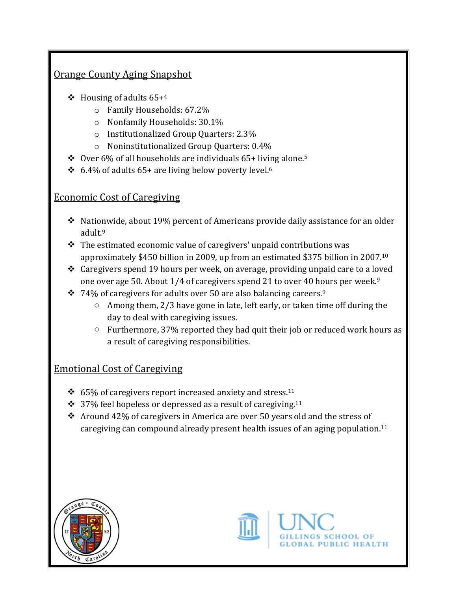#### Orange County Aging Snapshot

- $\div$  Housing of adults 65+4
	- o Family Households: 67.2%
	- o Nonfamily Households: 30.1%
	- o Institutionalized Group Quarters: 2.3%
	- o Noninstitutionalized Group Quarters: 0.4%
- $\div$  Over 6% of all households are individuals 65+ living alone.<sup>5</sup>
- $\div$  6.4% of adults 65+ are living below poverty level.<sup>6</sup>

#### Economic Cost of Caregiving

- $\cdot$  Nationwide, about 19% percent of Americans provide daily assistance for an older adult.<sup>9</sup>
- $\cdot \cdot$  The estimated economic value of caregivers' unpaid contributions was approximately \$450 billion in 2009, up from an estimated \$375 billion in 2007.<sup>10</sup>
- Caregivers spend 19 hours per week, on average, providing unpaid care to a loved one over age 50. About  $1/4$  of caregivers spend 21 to over 40 hours per week.<sup>9</sup>
- $\div$  74% of caregivers for adults over 50 are also balancing careers.<sup>9</sup>
	- $\circ$  Among them, 2/3 have gone in late, left early, or taken time off during the day to deal with caregiving issues.
	- o Furthermore, 37% reported they had quit their job or reduced work hours as a result of caregiving responsibilities.

## Emotional Cost of Caregiving

- $\div$  65% of caregivers report increased anxiety and stress.<sup>11</sup>
- $\cdot$  37% feel hopeless or depressed as a result of caregiving.<sup>11</sup>
- \* Around 42% of caregivers in America are over 50 years old and the stress of caregiving can compound already present health issues of an aging population.<sup>11</sup>





**PUBLIC HEALTH**